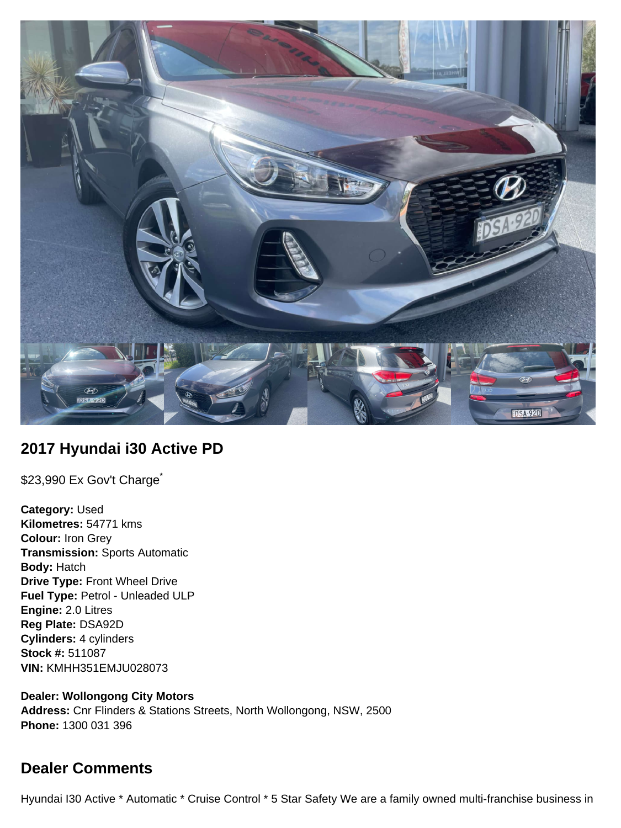

## **2017 Hyundai i30 Active PD**

\$23,990 Ex Gov't Charge<sup>\*</sup>

**Category:** Used **Kilometres:** 54771 kms **Colour:** Iron Grey **Transmission:** Sports Automatic **Body:** Hatch **Drive Type:** Front Wheel Drive **Fuel Type:** Petrol - Unleaded ULP **Engine:** 2.0 Litres **Reg Plate:** DSA92D **Cylinders:** 4 cylinders **Stock #:** 511087 **VIN:** KMHH351EMJU028073

**Dealer: Wollongong City Motors Address:** Cnr Flinders & Stations Streets, North Wollongong, NSW, 2500 **Phone:** 1300 031 396

# **Dealer Comments**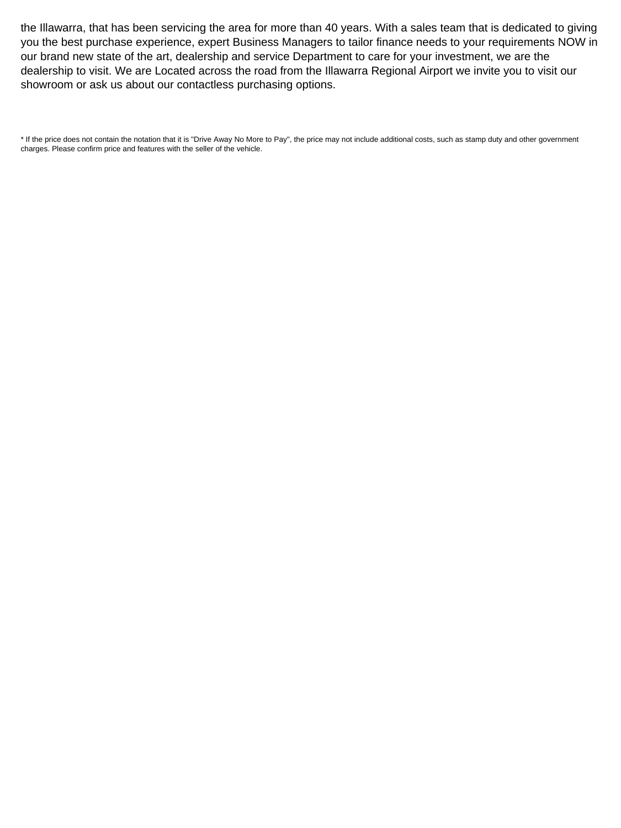the Illawarra, that has been servicing the area for more than 40 years. With a sales team that is dedicated to giving you the best purchase experience, expert Business Managers to tailor finance needs to your requirements NOW in our brand new state of the art, dealership and service Department to care for your investment, we are the dealership to visit. We are Located across the road from the Illawarra Regional Airport we invite you to visit our showroom or ask us about our contactless purchasing options.

\* If the price does not contain the notation that it is "Drive Away No More to Pay", the price may not include additional costs, such as stamp duty and other government charges. Please confirm price and features with the seller of the vehicle.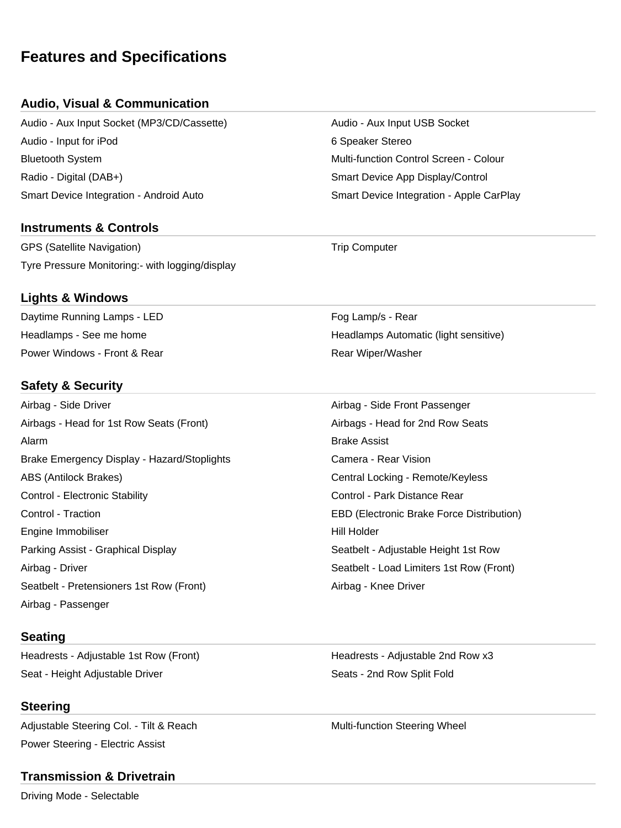# **Features and Specifications**

## **Audio, Visual & Communication**

Audio - Aux Input Socket (MP3/CD/Cassette) Audio - Aux Input USB Socket Audio - Input for iPod 6 Speaker Stereo Bluetooth System Multi-function Control Screen - Colour Radio - Digital (DAB+) Smart Device App Display/Control Smart Device Integration - Android Auto Smart Device Integration - Apple CarPlay

## **Instruments & Controls**

GPS (Satellite Navigation) and the Computer of Trip Computer Tyre Pressure Monitoring:- with logging/display

#### **Lights & Windows**

Daytime Running Lamps - LED **Four Containers** Fog Lamp/s - Rear Power Windows - Front & Rear **Rear Million Communist Communist Communist Communist Communist Communist Communist Communist Communist Communist Communist Communist Communist Communist Communist Communist Communist Communist** 

## **Safety & Security**

Airbag - Side Driver Airbag - Side Front Passenger Airbags - Head for 1st Row Seats (Front) Airbags - Head for 2nd Row Seats Alarm Brake Assist Brake Emergency Display - Hazard/Stoplights **Camera - Rear Vision** Camera - Rear Vision ABS (Antilock Brakes) Central Locking - Remote/Keyless Control - Electronic Stability **Control - Park Distance Rear** Control - Park Distance Rear Control - Traction EBD (Electronic Brake Force Distribution) Engine Immobiliser North States and The Hill Holder Hill Holder Parking Assist - Graphical Display Seatbelt - Adjustable Height 1st Row Airbag - Driver Seatbelt - Load Limiters 1st Row (Front) Seatbelt - Pretensioners 1st Row (Front) Airbag - Knee Driver Airbag - Passenger

#### **Seating**

Headrests - Adjustable 1st Row (Front) The Meadrests - Adjustable 2nd Row x3 Seat - Height Adjustable Driver Seats - 2nd Row Split Fold

#### **Steering**

Adjustable Steering Col. - Tilt & Reach Multi-function Steering Wheel Power Steering - Electric Assist

#### **Transmission & Drivetrain**

Driving Mode - Selectable

Headlamps - See me home **Headlamps Automatic (light sensitive)**